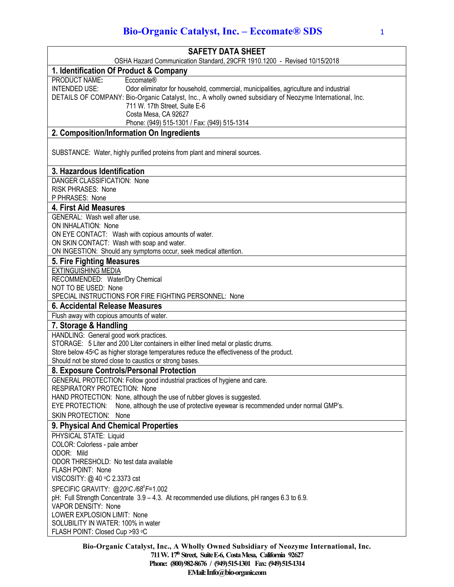| <b>SAFETY DATA SHEET</b>                                                                                      |
|---------------------------------------------------------------------------------------------------------------|
| OSHA Hazard Communication Standard, 29CFR 1910.1200 - Revised 10/15/2018                                      |
| 1. Identification Of Product & Company                                                                        |
| PRODUCT NAME:<br>Eccomate®                                                                                    |
| <b>INTENDED USE:</b><br>Odor eliminator for household, commercial, municipalities, agriculture and industrial |
| DETAILS OF COMPANY: Bio-Organic Catalyst, Inc., A wholly owned subsidiary of Neozyme International, Inc.      |
| 711 W. 17th Street, Suite E-6                                                                                 |
| Costa Mesa, CA 92627<br>Phone: (949) 515-1301 / Fax: (949) 515-1314                                           |
| 2. Composition/Information On Ingredients                                                                     |
|                                                                                                               |
| SUBSTANCE: Water, highly purified proteins from plant and mineral sources.                                    |
| 3. Hazardous Identification                                                                                   |
| DANGER CLASSIFICATION: None                                                                                   |
| <b>RISK PHRASES: None</b>                                                                                     |
| P PHRASES: None                                                                                               |
| 4. First Aid Measures                                                                                         |
| GENERAL: Wash well after use.<br>ON INHALATION: None                                                          |
| ON EYE CONTACT: Wash with copious amounts of water.                                                           |
| ON SKIN CONTACT: Wash with soap and water.                                                                    |
| ON INGESTION: Should any symptoms occur, seek medical attention.                                              |
| 5. Fire Fighting Measures                                                                                     |
| <b>EXTINGUISHING MEDIA</b>                                                                                    |
| RECOMMENDED: Water/Dry Chemical                                                                               |
| NOT TO BE USED: None                                                                                          |
| SPECIAL INSTRUCTIONS FOR FIRE FIGHTING PERSONNEL: None<br>6. Accidental Release Measures                      |
| Flush away with copious amounts of water.                                                                     |
|                                                                                                               |
| 7. Storage & Handling<br>HANDLING: General good work practices.                                               |
| STORAGE: 5 Liter and 200 Liter containers in either lined metal or plastic drums.                             |
| Store below 45°C as higher storage temperatures reduce the effectiveness of the product.                      |
| Should not be stored close to caustics or strong bases.                                                       |
| 8. Exposure Controls/Personal Protection                                                                      |
| GENERAL PROTECTION: Follow good industrial practices of hygiene and care.                                     |
| <b>RESPIRATORY PROTECTION: None</b>                                                                           |
| HAND PROTECTION: None, although the use of rubber gloves is suggested.                                        |
| None, although the use of protective eyewear is recommended under normal GMP's.<br>EYE PROTECTION:            |
| <b>SKIN PROTECTION: None</b>                                                                                  |
| 9. Physical And Chemical Properties                                                                           |
| PHYSICAL STATE: Liquid<br>COLOR: Colorless - pale amber                                                       |
| ODOR: Mild                                                                                                    |
| ODOR THRESHOLD: No test data available                                                                        |
| FLASH POINT: None                                                                                             |
| VISCOSITY: @ 40 °C 2.3373 cst                                                                                 |
| SPECIFIC GRAVITY: @200C/68°F=1.002                                                                            |
| pH: Full Strength Concentrate 3.9 - 4.3. At recommended use dilutions, pH ranges 6.3 to 6.9.                  |
| VAPOR DENSITY: None                                                                                           |
| LOWER EXPLOSION LIMIT: None                                                                                   |
| SOLUBILITY IN WATER: 100% in water<br>FLASH POINT: Closed Cup >93 °C                                          |
|                                                                                                               |

**Bio-Organic Catalyst, Inc., A Wholly Owned Subsidiary of Neozyme International, Inc. 711 W. 17th Street, Suite E-6, Costa Mesa, California 92627 Phone: (800) 982-8676 / (949) 515-1301 Fax: (949) 515-1314 EMail:Info@bio-organic.com**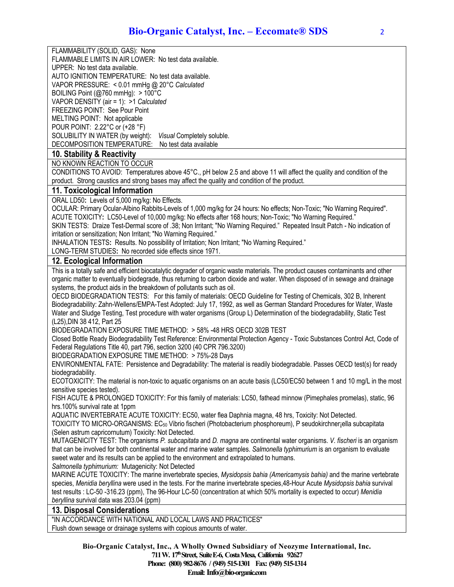FLAMMABILITY (SOLID, GAS): None

FLAMMABLE LIMITS IN AIR LOWER: No test data available. UPPER: No test data available.

AUTO IGNITION TEMPERATURE: No test data available.

VAPOR PRESSURE: < 0.01 mmHg @ 20°C *Calculated*

BOILING Point (@760 mmHg): > 100°C

VAPOR DENSITY (air = 1): >1 *Calculated*

FREEZING POINT: See Pour Point MELTING POINT: Not applicable

POUR POINT: 2.22°C or (+28 °F)

SOLUBILITY IN WATER (by weight): *Visual* Completely soluble.

DECOMPOSITION TEMPERATURE: No test data available

## **10. Stability & Reactivity**

NO KNOWN REACTION TO OCCUR

CONDITIONS TO AVOID: Temperatures above 45°C., pH below 2.5 and above 11 will affect the quality and condition of the product. Strong caustics and strong bases may affect the quality and condition of the product.

## **11. Toxicological Information**

ORAL LD50**:** Levels of 5,000 mg/kg: No Effects.

OCULAR: Primary Ocular-Albino Rabbits-Levels of 1,000 mg/kg for 24 hours: No effects; Non-Toxic; "No Warning Required". ACUTE TOXICITY**:** LC50-Level of 10,000 mg/kg: No effects after 168 hours; Non-Toxic; "No Warning Required."

SKIN TESTS: Draize Test-Dermal score of .38; Non Irritant; "No Warning Required." Repeated Insult Patch - No indication of irritation or sensitization; Non Irritant; "No Warning Required."

INHALATION TESTS**:** Results. No possibility of Irritation; Non Irritant; "No Warning Required."

LONG-TERM STUDIES**:** No recorded side effects since 1971.

## **12. Ecological Information**

This is a totally safe and efficient biocatalytic degrader of organic waste materials. The product causes contaminants and other organic matter to eventually biodegrade, thus returning to carbon dioxide and water. When disposed of in sewage and drainage systems, the product aids in the breakdown of pollutants such as oil.

OECD BIODEGRADATION TESTS: For this family of materials: OECD Guideline for Testing of Chemicals, 302 B, Inherent Biodegradability: Zahn-Wellens/EMPA-Test Adopted: July 17, 1992, as well as German Standard Procedures for Water, Waste Water and Sludge Testing, Test procedure with water organisms (Group L) Determination of the biodegradability, Static Test (L25),DIN 38 412, Part 25

BIODEGRADATION EXPOSURE TIME METHOD: > 58% -48 HRS OECD 302B TEST

Closed Bottle Ready Biodegradability Test Reference: Environmental Protection Agency - Toxic Substances Control Act, Code of Federal Regulations Title 40, part 796, section 3200 (40 CPR 796.3200)

BIODEGRADATION EXPOSURE TIME METHOD: > 75%-28 Days

ENVIRONMENTAL FATE: Persistence and Degradability: The material is readily biodegradable. Passes OECD test(s) for ready biodegradability.

ECOTOXICITY: The material is non-toxic to aquatic organisms on an acute basis (LC50/EC50 between 1 and 10 mg/L in the most sensitive species tested).

FISH ACUTE & PROLONGED TOXICITY: For this family of materials: LC50, fathead minnow (Pimephales promelas), static, 96 hrs.100% survival rate at 1ppm

AQUATIC INVERTEBRATE ACUTE TOXICITY: EC50, water flea Daphnia magna, 48 hrs, Toxicity: Not Detected.

TOXICITY TO MICRO-ORGANISMS: EC50 Vibrio fischeri (Photobacterium phosphoreum), P seudokirchner¡ella subcapitata (Selen astrum capricornutum) Toxicity: Not Detected.

MUTAGENICITY TEST: The organisms *P. subcapitata* and *D. magna* are continental water organisms. *V. fischeri* is an organism that can be involved for both continental water and marine water samples. *Salmonella typhimurium* is an organism to evaluate sweet water and its results can be applied to the environment and extrapolated to humans.

*Salmonella typhimurium:* Mutagenicity: Not Detected

MARINE ACUTE TOXICITY: The marine invertebrate species, *Mysidopsis bahia (Americamysis bahia)* and the marine vertebrate species, *Menidia beryllina* were used in the tests. For the marine invertebrate species,48-Hour Acute *Mysidopsis bahia* survival test results : LC-50 -316.23 (ppm), The 96-Hour LC-50 (concentration at which 50% mortality is expected to occur) *Menidia beryllina* survival data was 203.04 (ppm)

## **13. Disposal Considerations**

"IN ACCORDANCE WITH NATIONAL AND LOCAL LAWS AND PRACTICES" Flush down sewage or drainage systems with copious amounts of water.

> **Bio-Organic Catalyst, Inc., A Wholly Owned Subsidiary of Neozyme International, Inc. 711 W. 17thStreet, Suite E-6, Costa Mesa, California 92627 Phone: (800) 982-8676 / (949) 515-1301 Fax: (949) 515-1314 Email: Info@bio-organic.com**